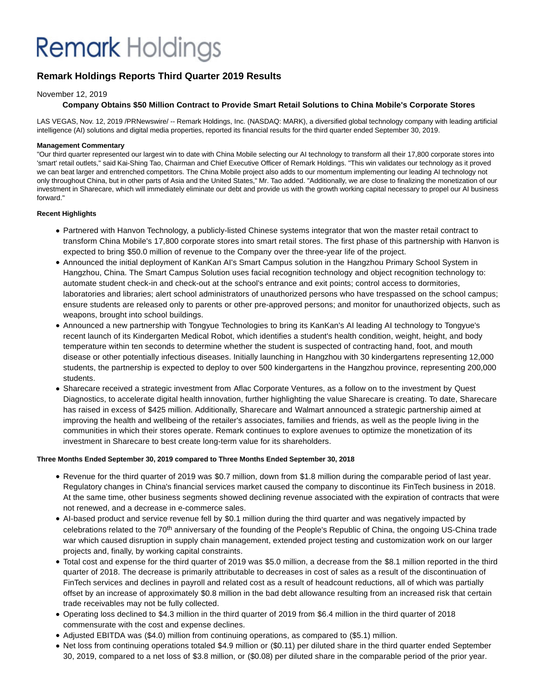# **Remark** Holdings

# **Remark Holdings Reports Third Quarter 2019 Results**

# November 12, 2019

# **Company Obtains \$50 Million Contract to Provide Smart Retail Solutions to China Mobile's Corporate Stores**

LAS VEGAS, Nov. 12, 2019 /PRNewswire/ -- Remark Holdings, Inc. (NASDAQ: MARK), a diversified global technology company with leading artificial intelligence (AI) solutions and digital media properties, reported its financial results for the third quarter ended September 30, 2019.

## **Management Commentary**

"Our third quarter represented our largest win to date with China Mobile selecting our AI technology to transform all their 17,800 corporate stores into 'smart' retail outlets," said Kai-Shing Tao, Chairman and Chief Executive Officer of Remark Holdings. "This win validates our technology as it proved we can beat larger and entrenched competitors. The China Mobile project also adds to our momentum implementing our leading AI technology not only throughout China, but in other parts of Asia and the United States," Mr. Tao added. "Additionally, we are close to finalizing the monetization of our investment in Sharecare, which will immediately eliminate our debt and provide us with the growth working capital necessary to propel our AI business forward."

# **Recent Highlights**

- Partnered with Hanvon Technology, a publicly-listed Chinese systems integrator that won the master retail contract to transform China Mobile's 17,800 corporate stores into smart retail stores. The first phase of this partnership with Hanvon is expected to bring \$50.0 million of revenue to the Company over the three-year life of the project.
- Announced the initial deployment of KanKan AI's Smart Campus solution in the Hangzhou Primary School System in Hangzhou, China. The Smart Campus Solution uses facial recognition technology and object recognition technology to: automate student check-in and check-out at the school's entrance and exit points; control access to dormitories, laboratories and libraries; alert school administrators of unauthorized persons who have trespassed on the school campus; ensure students are released only to parents or other pre-approved persons; and monitor for unauthorized objects, such as weapons, brought into school buildings.
- Announced a new partnership with Tongyue Technologies to bring its KanKan's AI leading AI technology to Tongyue's recent launch of its Kindergarten Medical Robot, which identifies a student's health condition, weight, height, and body temperature within ten seconds to determine whether the student is suspected of contracting hand, foot, and mouth disease or other potentially infectious diseases. Initially launching in Hangzhou with 30 kindergartens representing 12,000 students, the partnership is expected to deploy to over 500 kindergartens in the Hangzhou province, representing 200,000 students.
- Sharecare received a strategic investment from Aflac Corporate Ventures, as a follow on to the investment by Quest Diagnostics, to accelerate digital health innovation, further highlighting the value Sharecare is creating. To date, Sharecare has raised in excess of \$425 million. Additionally, Sharecare and Walmart announced a strategic partnership aimed at improving the health and wellbeing of the retailer's associates, families and friends, as well as the people living in the communities in which their stores operate. Remark continues to explore avenues to optimize the monetization of its investment in Sharecare to best create long-term value for its shareholders.

# **Three Months Ended September 30, 2019 compared to Three Months Ended September 30, 2018**

- Revenue for the third quarter of 2019 was \$0.7 million, down from \$1.8 million during the comparable period of last year. Regulatory changes in China's financial services market caused the company to discontinue its FinTech business in 2018. At the same time, other business segments showed declining revenue associated with the expiration of contracts that were not renewed, and a decrease in e-commerce sales.
- AI-based product and service revenue fell by \$0.1 million during the third quarter and was negatively impacted by celebrations related to the 70<sup>th</sup> anniversary of the founding of the People's Republic of China, the ongoing US-China trade war which caused disruption in supply chain management, extended project testing and customization work on our larger projects and, finally, by working capital constraints.
- Total cost and expense for the third quarter of 2019 was \$5.0 million, a decrease from the \$8.1 million reported in the third quarter of 2018. The decrease is primarily attributable to decreases in cost of sales as a result of the discontinuation of FinTech services and declines in payroll and related cost as a result of headcount reductions, all of which was partially offset by an increase of approximately \$0.8 million in the bad debt allowance resulting from an increased risk that certain trade receivables may not be fully collected.
- Operating loss declined to \$4.3 million in the third quarter of 2019 from \$6.4 million in the third quarter of 2018 commensurate with the cost and expense declines.
- Adjusted EBITDA was (\$4.0) million from continuing operations, as compared to (\$5.1) million.
- Net loss from continuing operations totaled \$4.9 million or (\$0.11) per diluted share in the third quarter ended September 30, 2019, compared to a net loss of \$3.8 million, or (\$0.08) per diluted share in the comparable period of the prior year.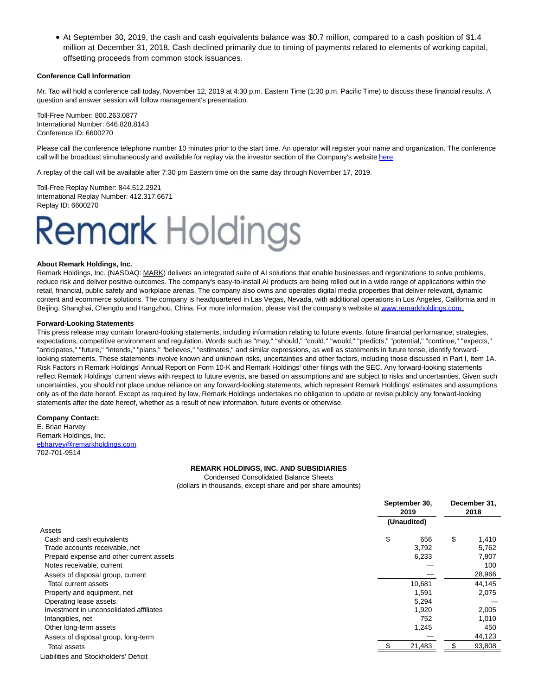At September 30, 2019, the cash and cash equivalents balance was \$0.7 million, compared to a cash position of \$1.4 million at December 31, 2018. Cash declined primarily due to timing of payments related to elements of working capital, offsetting proceeds from common stock issuances.

#### **Conference Call Information**

Mr. Tao will hold a conference call today, November 12, 2019 at 4:30 p.m. Eastern Time (1:30 p.m. Pacific Time) to discuss these financial results. A question and answer session will follow management's presentation.

Toll-Free Number: 800.263.0877 International Number: 646.828.8143 Conference ID: 6600270

Please call the conference telephone number 10 minutes prior to the start time. An operator will register your name and organization. The conference call will be broadcast simultaneously and available for replay via the investor section of the Company's website [here.](https://c212.net/c/link/?t=0&l=en&o=2640696-1&h=172662781&u=http%3A%2F%2Fpublic.viavid.com%2Fplayer%2Findex.php%3Fid%3D136943&a=here)

A replay of the call will be available after 7:30 pm Eastern time on the same day through November 17, 2019.

Toll-Free Replay Number: 844.512.2921 International Replay Number: 412.317.6671 Replay ID: 6600270

# **Remark Holdings**

#### **About Remark Holdings, Inc.**

Remark Holdings, Inc. (NASDAQ: MARK) delivers an integrated suite of AI solutions that enable businesses and organizations to solve problems, reduce risk and deliver positive outcomes. The company's easy-to-install AI products are being rolled out in a wide range of applications within the retail, financial, public safety and workplace arenas. The company also owns and operates digital media properties that deliver relevant, dynamic content and ecommerce solutions. The company is headquartered in Las Vegas, Nevada, with additional operations in Los Angeles, California and in Beijing, Shanghai, Chengdu and Hangzhou, China. For more information, please visit the company's website a[t www.remarkholdings.com.](https://c212.net/c/link/?t=0&l=en&o=2640696-1&h=2662662937&u=http%3A%2F%2Fwww.remarkholdings.com%2F&a=www.remarkholdings.com)

#### **Forward-Looking Statements**

This press release may contain forward-looking statements, including information relating to future events, future financial performance, strategies, expectations, competitive environment and regulation. Words such as "may," "should," "could," "would," "predicts," "potential," "continue," "expects," "anticipates," "future," "intends," "plans," "believes," "estimates," and similar expressions, as well as statements in future tense, identify forwardlooking statements. These statements involve known and unknown risks, uncertainties and other factors, including those discussed in Part I, Item 1A. Risk Factors in Remark Holdings' Annual Report on Form 10-K and Remark Holdings' other filings with the SEC. Any forward-looking statements reflect Remark Holdings' current views with respect to future events, are based on assumptions and are subject to risks and uncertainties. Given such uncertainties, you should not place undue reliance on any forward-looking statements, which represent Remark Holdings' estimates and assumptions only as of the date hereof. Except as required by law, Remark Holdings undertakes no obligation to update or revise publicly any forward-looking statements after the date hereof, whether as a result of new information, future events or otherwise.

**Company Contact:** E. Brian Harvey Remark Holdings, Inc. [ebharvey@remarkholdings.com](mailto:ebharvey@remarkholdings.com) 702-701-9514

### **REMARK HOLDINGS, INC. AND SUBSIDIARIES**

Condensed Consolidated Balance Sheets (dollars in thousands, except share and per share amounts)

|                                          | September 30,<br>2019 | December 31,<br>2018 |        |
|------------------------------------------|-----------------------|----------------------|--------|
|                                          | (Unaudited)           |                      |        |
| Assets                                   |                       |                      |        |
| Cash and cash equivalents                | \$<br>656             | \$                   | 1,410  |
| Trade accounts receivable, net           | 3,792                 |                      | 5,762  |
| Prepaid expense and other current assets | 6,233                 |                      | 7,907  |
| Notes receivable, current                |                       |                      | 100    |
| Assets of disposal group, current        |                       |                      | 28,966 |
| Total current assets                     | 10,681                |                      | 44,145 |
| Property and equipment, net              | 1,591                 |                      | 2,075  |
| Operating lease assets                   | 5,294                 |                      |        |
| Investment in unconsolidated affiliates  | 1,920                 |                      | 2,005  |
| Intangibles, net                         | 752                   |                      | 1,010  |
| Other long-term assets                   | 1,245                 |                      | 450    |
| Assets of disposal group, long-term      |                       |                      | 44,123 |
| Total assets                             | 21,483                |                      | 93,808 |
| Liabilities and Stockholders' Deficit    |                       |                      |        |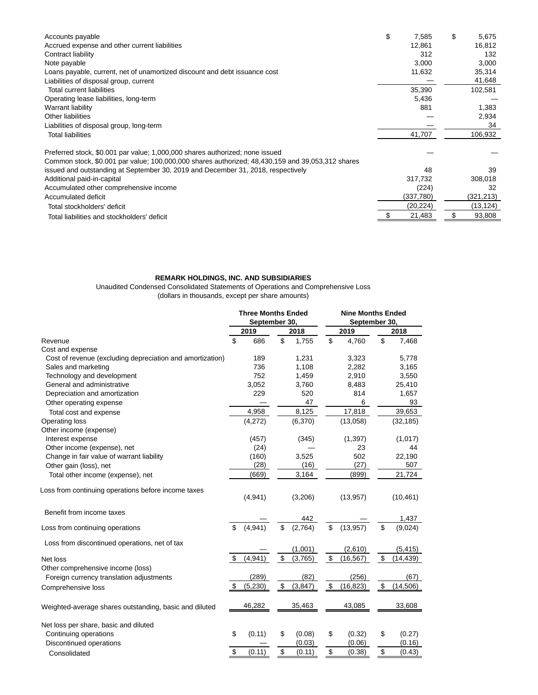| Accounts payable                                                                                 | \$<br>7,585 | \$<br>5,675 |
|--------------------------------------------------------------------------------------------------|-------------|-------------|
| Accrued expense and other current liabilities                                                    | 12,861      | 16,812      |
| Contract liability                                                                               | 312         | 132         |
| Note payable                                                                                     | 3,000       | 3.000       |
| Loans payable, current, net of unamortized discount and debt issuance cost                       | 11,632      | 35,314      |
| Liabilities of disposal group, current                                                           |             | 41,648      |
| Total current liabilities                                                                        | 35,390      | 102,581     |
| Operating lease liabilities, long-term                                                           | 5,436       |             |
| Warrant liability                                                                                | 881         | 1,383       |
| Other liabilities                                                                                |             | 2,934       |
| Liabilities of disposal group, long-term                                                         |             | 34          |
| <b>Total liabilities</b>                                                                         | 41,707      | 106,932     |
| Preferred stock, \$0.001 par value; 1,000,000 shares authorized; none issued                     |             |             |
| Common stock, \$0.001 par value; 100,000,000 shares authorized; 48,430,159 and 39,053,312 shares |             |             |
| issued and outstanding at September 30, 2019 and December 31, 2018, respectively                 | 48          | 39          |
| Additional paid-in-capital                                                                       | 317,732     | 308,018     |
| Accumulated other comprehensive income                                                           | (224)       | 32          |
| Accumulated deficit                                                                              | (337,780)   | (321,213)   |
| Total stockholders' deficit                                                                      | (20, 224)   | (13,124)    |
| Total liabilities and stockholders' deficit                                                      | 21,483      | 93,808      |

#### **REMARK HOLDINGS, INC. AND SUBSIDIARIES**

Unaudited Condensed Consolidated Statements of Operations and Comprehensive Loss

(dollars in thousands, except per share amounts)

|                                                           | <b>Three Months Ended</b><br>September 30. |                        | <b>Nine Months Ended</b><br>September 30, |                 |  |
|-----------------------------------------------------------|--------------------------------------------|------------------------|-------------------------------------------|-----------------|--|
|                                                           | 2019                                       | 2018                   | 2019                                      | 2018            |  |
| Revenue                                                   | \$<br>686                                  | \$<br>1,755            | \$<br>4,760                               | \$<br>7,468     |  |
| Cost and expense                                          |                                            |                        |                                           |                 |  |
| Cost of revenue (excluding depreciation and amortization) | 189                                        | 1,231                  | 3,323                                     | 5,778           |  |
| Sales and marketing                                       | 736                                        | 1,108                  | 2,282                                     | 3,165           |  |
| Technology and development                                | 752                                        | 1,459                  | 2,910                                     | 3,550           |  |
| General and administrative                                | 3,052                                      | 3,760                  | 8,483                                     | 25,410          |  |
| Depreciation and amortization                             | 229                                        | 520                    | 814                                       | 1,657           |  |
| Other operating expense                                   |                                            | 47                     | 6                                         | 93              |  |
| Total cost and expense                                    | 4,958                                      | 8,125                  | 17,818                                    | 39,653          |  |
| Operating loss                                            | (4,272)                                    | (6,370)                | (13,058)                                  | (32, 185)       |  |
| Other income (expense)                                    |                                            |                        |                                           |                 |  |
| Interest expense                                          | (457)                                      | (345)                  | (1, 397)                                  | (1,017)         |  |
| Other income (expense), net                               | (24)                                       |                        | 23                                        | 44              |  |
| Change in fair value of warrant liability                 | (160)                                      | 3,525                  | 502                                       | 22,190          |  |
| Other gain (loss), net                                    | (28)                                       | (16)                   | (27)                                      | 507             |  |
| Total other income (expense), net                         | (669)                                      | 3,164                  | (899)                                     | 21,724          |  |
| Loss from continuing operations before income taxes       | (4,941)                                    | (3,206)                | (13, 957)                                 | (10, 461)       |  |
| Benefit from income taxes                                 |                                            | 442                    |                                           | 1,437           |  |
| Loss from continuing operations                           | \$<br>(4,941)                              | \$<br>(2,764)          | \$<br>(13, 957)                           | \$<br>(9,024)   |  |
| Loss from discontinued operations, net of tax             |                                            |                        |                                           |                 |  |
|                                                           |                                            | (1,001)                | (2,610)                                   | (5, 415)        |  |
| Net loss                                                  | \$<br>(4,941)                              | \$<br>(3,765)          | \$<br>(16, 567)                           | \$<br>(14, 439) |  |
| Other comprehensive income (loss)                         |                                            |                        |                                           |                 |  |
| Foreign currency translation adjustments                  | (289)                                      | (82)                   | (256)                                     | (67)            |  |
| Comprehensive loss                                        | \$<br>(5,230)                              | $\sqrt{2}$<br>(3, 847) | $\frac{1}{2}$<br>(16, 823)                | \$<br>(14, 506) |  |
| Weighted-average shares outstanding, basic and diluted    | 46,282                                     | 35,463                 | 43,085                                    | 33,608          |  |
| Net loss per share, basic and diluted                     |                                            |                        |                                           |                 |  |
| Continuing operations                                     | \$<br>(0.11)                               | \$<br>(0.08)           | \$<br>(0.32)                              | \$<br>(0.27)    |  |
| Discontinued operations                                   |                                            | (0.03)                 | (0.06)                                    | (0.16)          |  |
| Consolidated                                              | \$<br>(0.11)                               | \$<br>(0.11)           | $\frac{1}{2}$<br>(0.38)                   | \$<br>(0.43)    |  |